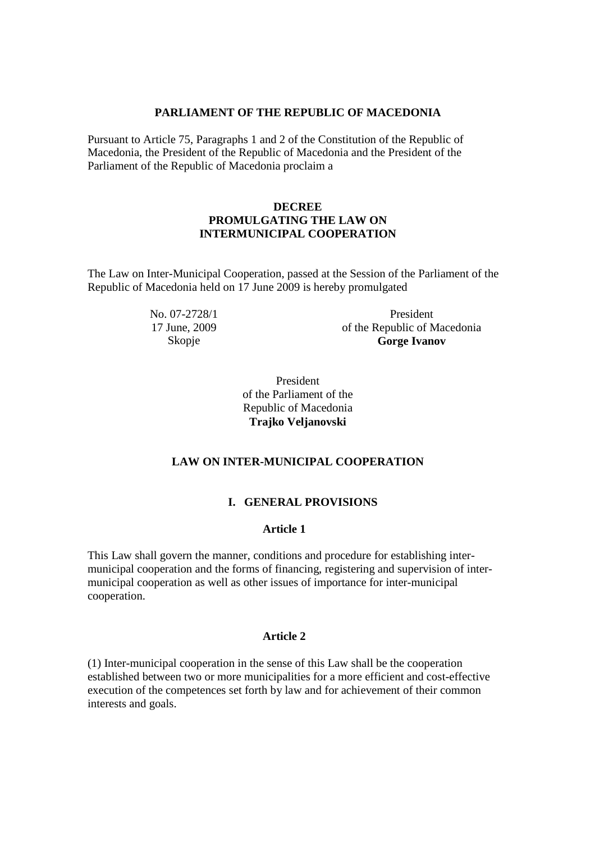### **PARLIAMENT OF THE REPUBLIC OF MACEDONIA**

Pursuant to Article 75, Paragraphs 1 and 2 of the Constitution of the Republic of Macedonia, the President of the Republic of Macedonia and the President of the Parliament of the Republic of Macedonia proclaim a

# **DECREE PROMULGATING THE LAW ON INTERMUNICIPAL COOPERATION**

The Law on Inter-Municipal Cooperation, passed at the Session of the Parliament of the Republic of Macedonia held on 17 June 2009 is hereby promulgated

> No. 07-2728/1 17 June, 2009 Skopje

President of the Republic of Macedonia **Gorge Ivanov** 

President of the Parliament of the Republic of Macedonia **Trajko Veljanovski**

# **LAW ON INTER-MUNICIPAL COOPERATION**

# **I. GENERAL PROVISIONS**

### **Article 1**

This Law shall govern the manner, conditions and procedure for establishing intermunicipal cooperation and the forms of financing, registering and supervision of intermunicipal cooperation as well as other issues of importance for inter-municipal cooperation.

## **Article 2**

(1) Inter-municipal cooperation in the sense of this Law shall be the cooperation established between two or more municipalities for a more efficient and cost-effective execution of the competences set forth by law and for achievement of their common interests and goals.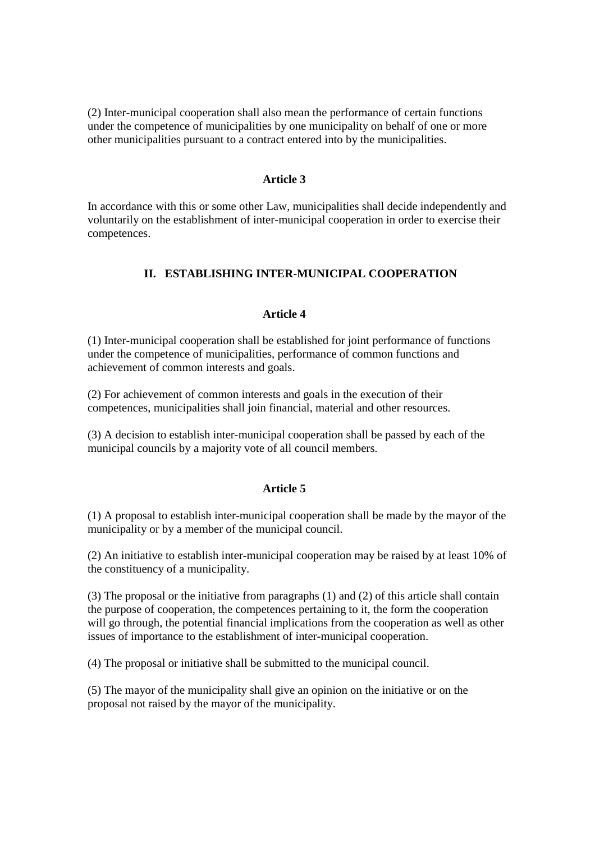(2) Inter-municipal cooperation shall also mean the performance of certain functions under the competence of municipalities by one municipality on behalf of one or more other municipalities pursuant to a contract entered into by the municipalities.

#### **Article 3**

In accordance with this or some other Law, municipalities shall decide independently and voluntarily on the establishment of inter-municipal cooperation in order to exercise their competences.

# **II. ESTABLISHING INTER-MUNICIPAL COOPERATION**

#### **Article 4**

(1) Inter-municipal cooperation shall be established for joint performance of functions under the competence of municipalities, performance of common functions and achievement of common interests and goals.

(2) For achievement of common interests and goals in the execution of their competences, municipalities shall join financial, material and other resources.

(3) A decision to establish inter-municipal cooperation shall be passed by each of the municipal councils by a majority vote of all council members.

#### **Article 5**

(1) A proposal to establish inter-municipal cooperation shall be made by the mayor of the municipality or by a member of the municipal council.

(2) An initiative to establish inter-municipal cooperation may be raised by at least 10% of the constituency of a municipality.

(3) The proposal or the initiative from paragraphs (1) and (2) of this article shall contain the purpose of cooperation, the competences pertaining to it, the form the cooperation will go through, the potential financial implications from the cooperation as well as other issues of importance to the establishment of inter-municipal cooperation.

(4) The proposal or initiative shall be submitted to the municipal council.

(5) The mayor of the municipality shall give an opinion on the initiative or on the proposal not raised by the mayor of the municipality.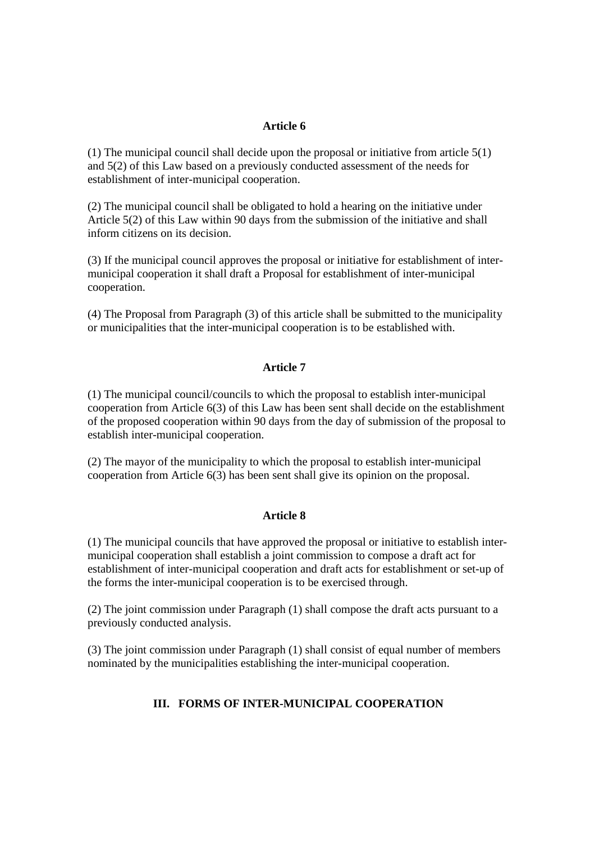(1) The municipal council shall decide upon the proposal or initiative from article 5(1) and 5(2) of this Law based on a previously conducted assessment of the needs for establishment of inter-municipal cooperation.

(2) The municipal council shall be obligated to hold a hearing on the initiative under Article 5(2) of this Law within 90 days from the submission of the initiative and shall inform citizens on its decision.

(3) If the municipal council approves the proposal or initiative for establishment of intermunicipal cooperation it shall draft a Proposal for establishment of inter-municipal cooperation.

(4) The Proposal from Paragraph (3) of this article shall be submitted to the municipality or municipalities that the inter-municipal cooperation is to be established with.

### **Article 7**

(1) The municipal council/councils to which the proposal to establish inter-municipal cooperation from Article 6(3) of this Law has been sent shall decide on the establishment of the proposed cooperation within 90 days from the day of submission of the proposal to establish inter-municipal cooperation.

(2) The mayor of the municipality to which the proposal to establish inter-municipal cooperation from Article 6(3) has been sent shall give its opinion on the proposal.

### **Article 8**

(1) The municipal councils that have approved the proposal or initiative to establish intermunicipal cooperation shall establish a joint commission to compose a draft act for establishment of inter-municipal cooperation and draft acts for establishment or set-up of the forms the inter-municipal cooperation is to be exercised through.

(2) The joint commission under Paragraph (1) shall compose the draft acts pursuant to a previously conducted analysis.

(3) The joint commission under Paragraph (1) shall consist of equal number of members nominated by the municipalities establishing the inter-municipal cooperation.

# **III. FORMS OF INTER-MUNICIPAL COOPERATION**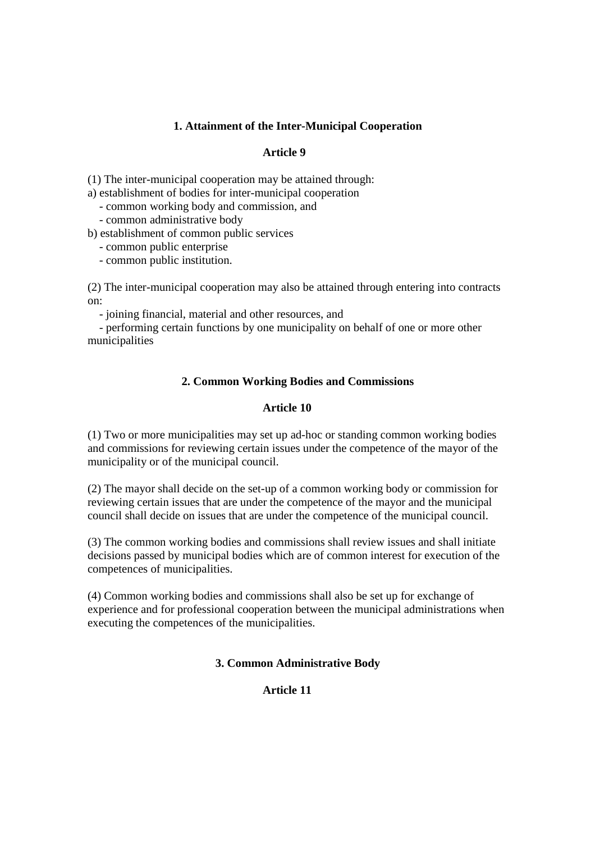# **1. Attainment of the Inter-Municipal Cooperation**

## **Article 9**

(1) The inter-municipal cooperation may be attained through:

a) establishment of bodies for inter-municipal cooperation

- common working body and commission, and

- common administrative body

b) establishment of common public services

- common public enterprise

- common public institution.

(2) The inter-municipal cooperation may also be attained through entering into contracts on:

- joining financial, material and other resources, and

 - performing certain functions by one municipality on behalf of one or more other municipalities

# **2. Common Working Bodies and Commissions**

# **Article 10**

(1) Two or more municipalities may set up ad-hoc or standing common working bodies and commissions for reviewing certain issues under the competence of the mayor of the municipality or of the municipal council.

(2) The mayor shall decide on the set-up of a common working body or commission for reviewing certain issues that are under the competence of the mayor and the municipal council shall decide on issues that are under the competence of the municipal council.

(3) The common working bodies and commissions shall review issues and shall initiate decisions passed by municipal bodies which are of common interest for execution of the competences of municipalities.

(4) Common working bodies and commissions shall also be set up for exchange of experience and for professional cooperation between the municipal administrations when executing the competences of the municipalities.

# **3. Common Administrative Body**

# **Article 11**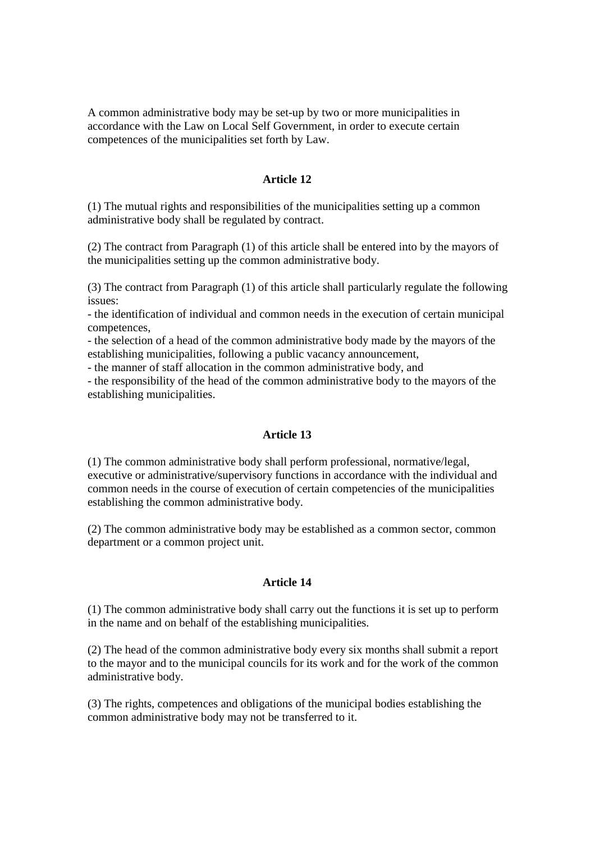A common administrative body may be set-up by two or more municipalities in accordance with the Law on Local Self Government, in order to execute certain competences of the municipalities set forth by Law.

### **Article 12**

(1) The mutual rights and responsibilities of the municipalities setting up a common administrative body shall be regulated by contract.

(2) The contract from Paragraph (1) of this article shall be entered into by the mayors of the municipalities setting up the common administrative body.

(3) The contract from Paragraph (1) of this article shall particularly regulate the following issues:

- the identification of individual and common needs in the execution of certain municipal competences,

- the selection of a head of the common administrative body made by the mayors of the establishing municipalities, following a public vacancy announcement,

- the manner of staff allocation in the common administrative body, and

- the responsibility of the head of the common administrative body to the mayors of the establishing municipalities.

#### **Article 13**

(1) The common administrative body shall perform professional, normative/legal, executive or administrative/supervisory functions in accordance with the individual and common needs in the course of execution of certain competencies of the municipalities establishing the common administrative body.

(2) The common administrative body may be established as a common sector, common department or a common project unit.

### **Article 14**

(1) The common administrative body shall carry out the functions it is set up to perform in the name and on behalf of the establishing municipalities.

(2) The head of the common administrative body every six months shall submit a report to the mayor and to the municipal councils for its work and for the work of the common administrative body.

(3) The rights, competences and obligations of the municipal bodies establishing the common administrative body may not be transferred to it.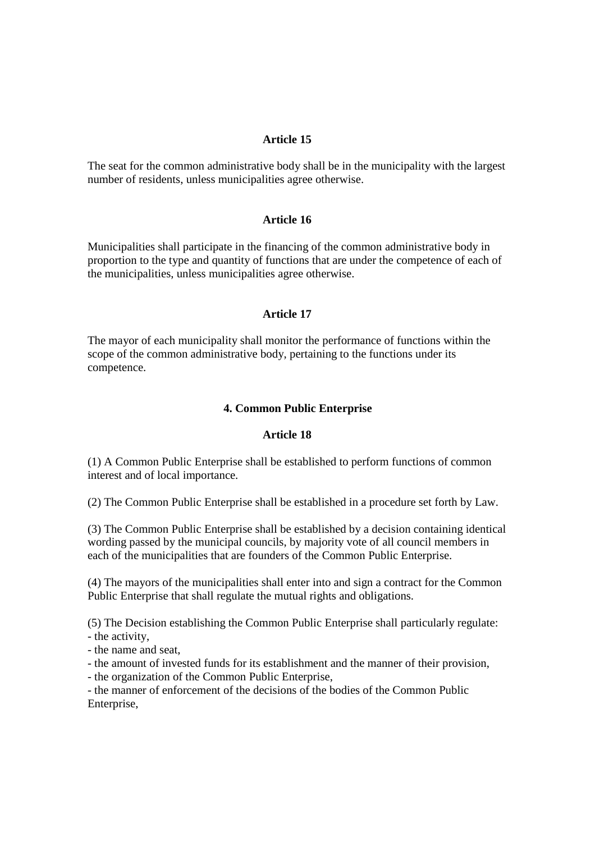The seat for the common administrative body shall be in the municipality with the largest number of residents, unless municipalities agree otherwise.

### **Article 16**

Municipalities shall participate in the financing of the common administrative body in proportion to the type and quantity of functions that are under the competence of each of the municipalities, unless municipalities agree otherwise.

#### **Article 17**

The mayor of each municipality shall monitor the performance of functions within the scope of the common administrative body, pertaining to the functions under its competence.

#### **4. Common Public Enterprise**

#### **Article 18**

(1) A Common Public Enterprise shall be established to perform functions of common interest and of local importance.

(2) The Common Public Enterprise shall be established in a procedure set forth by Law.

(3) The Common Public Enterprise shall be established by a decision containing identical wording passed by the municipal councils, by majority vote of all council members in each of the municipalities that are founders of the Common Public Enterprise.

(4) The mayors of the municipalities shall enter into and sign a contract for the Common Public Enterprise that shall regulate the mutual rights and obligations.

(5) The Decision establishing the Common Public Enterprise shall particularly regulate: - the activity,

- the name and seat,

- the amount of invested funds for its establishment and the manner of their provision,

- the organization of the Common Public Enterprise,

- the manner of enforcement of the decisions of the bodies of the Common Public Enterprise,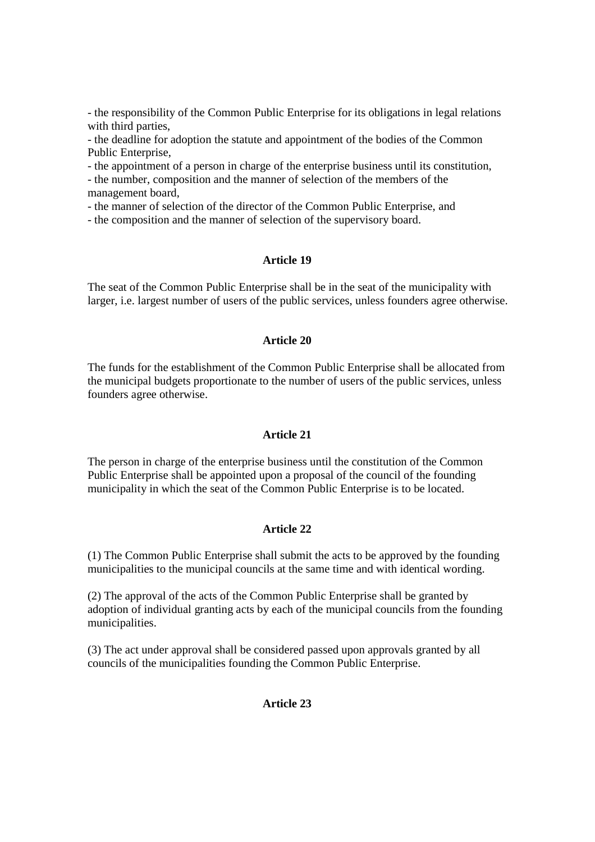- the responsibility of the Common Public Enterprise for its obligations in legal relations with third parties,

- the deadline for adoption the statute and appointment of the bodies of the Common Public Enterprise,

- the appointment of a person in charge of the enterprise business until its constitution,

- the number, composition and the manner of selection of the members of the management board,

- the manner of selection of the director of the Common Public Enterprise, and

- the composition and the manner of selection of the supervisory board.

# **Article 19**

The seat of the Common Public Enterprise shall be in the seat of the municipality with larger, i.e. largest number of users of the public services, unless founders agree otherwise.

## **Article 20**

The funds for the establishment of the Common Public Enterprise shall be allocated from the municipal budgets proportionate to the number of users of the public services, unless founders agree otherwise.

### **Article 21**

The person in charge of the enterprise business until the constitution of the Common Public Enterprise shall be appointed upon a proposal of the council of the founding municipality in which the seat of the Common Public Enterprise is to be located.

#### **Article 22**

(1) The Common Public Enterprise shall submit the acts to be approved by the founding municipalities to the municipal councils at the same time and with identical wording.

(2) The approval of the acts of the Common Public Enterprise shall be granted by adoption of individual granting acts by each of the municipal councils from the founding municipalities.

(3) The act under approval shall be considered passed upon approvals granted by all councils of the municipalities founding the Common Public Enterprise.

# **Article 23**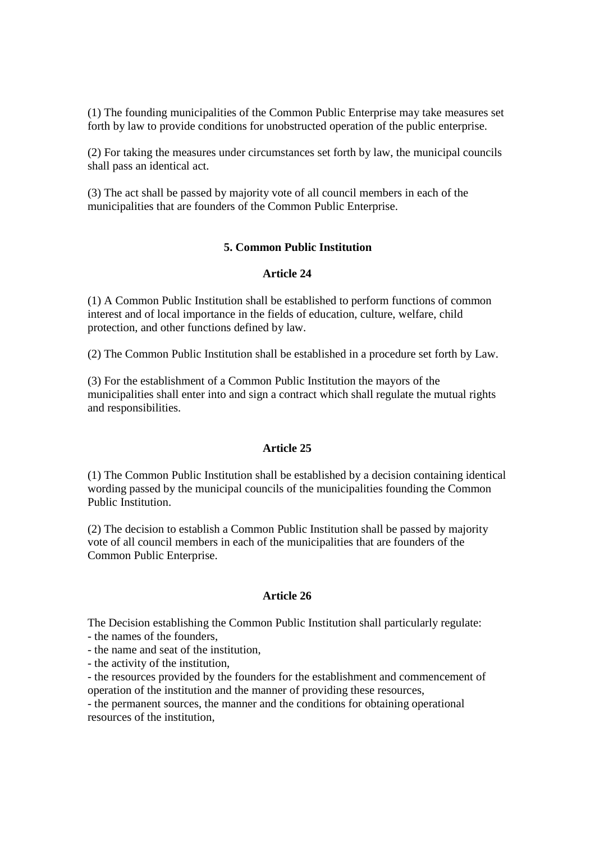(1) The founding municipalities of the Common Public Enterprise may take measures set forth by law to provide conditions for unobstructed operation of the public enterprise.

(2) For taking the measures under circumstances set forth by law, the municipal councils shall pass an identical act.

(3) The act shall be passed by majority vote of all council members in each of the municipalities that are founders of the Common Public Enterprise.

### **5. Common Public Institution**

#### **Article 24**

(1) A Common Public Institution shall be established to perform functions of common interest and of local importance in the fields of education, culture, welfare, child protection, and other functions defined by law.

(2) The Common Public Institution shall be established in a procedure set forth by Law.

(3) For the establishment of a Common Public Institution the mayors of the municipalities shall enter into and sign a contract which shall regulate the mutual rights and responsibilities.

#### **Article 25**

(1) The Common Public Institution shall be established by a decision containing identical wording passed by the municipal councils of the municipalities founding the Common Public Institution.

(2) The decision to establish a Common Public Institution shall be passed by majority vote of all council members in each of the municipalities that are founders of the Common Public Enterprise.

### **Article 26**

The Decision establishing the Common Public Institution shall particularly regulate:

- the names of the founders,
- the name and seat of the institution,

- the activity of the institution,

- the resources provided by the founders for the establishment and commencement of operation of the institution and the manner of providing these resources,

- the permanent sources, the manner and the conditions for obtaining operational resources of the institution,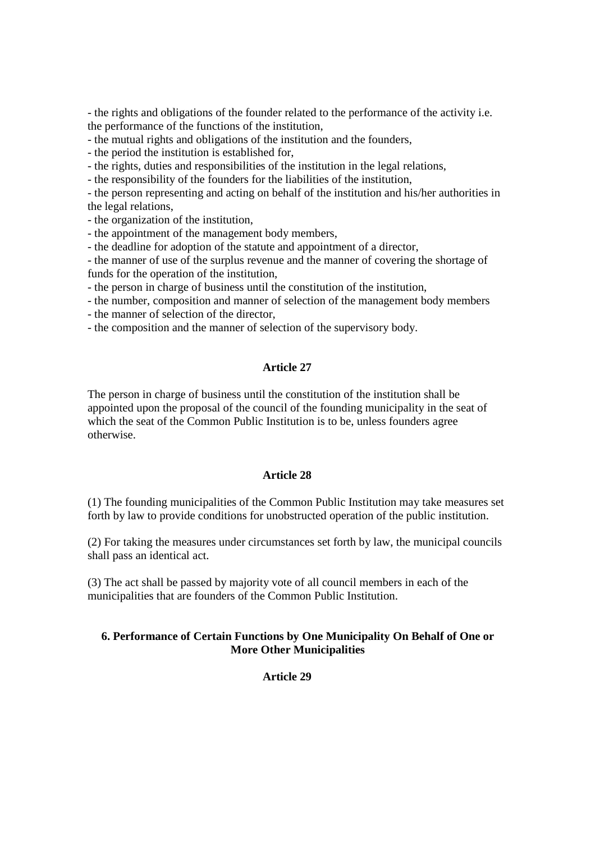- the rights and obligations of the founder related to the performance of the activity i.e. the performance of the functions of the institution,

- the mutual rights and obligations of the institution and the founders,

- the period the institution is established for,

- the rights, duties and responsibilities of the institution in the legal relations,

- the responsibility of the founders for the liabilities of the institution,

- the person representing and acting on behalf of the institution and his/her authorities in the legal relations,

- the organization of the institution,

- the appointment of the management body members,

- the deadline for adoption of the statute and appointment of a director,

- the manner of use of the surplus revenue and the manner of covering the shortage of funds for the operation of the institution,

- the person in charge of business until the constitution of the institution,

- the number, composition and manner of selection of the management body members

- the manner of selection of the director,

- the composition and the manner of selection of the supervisory body.

## **Article 27**

The person in charge of business until the constitution of the institution shall be appointed upon the proposal of the council of the founding municipality in the seat of which the seat of the Common Public Institution is to be, unless founders agree otherwise.

### **Article 28**

(1) The founding municipalities of the Common Public Institution may take measures set forth by law to provide conditions for unobstructed operation of the public institution.

(2) For taking the measures under circumstances set forth by law, the municipal councils shall pass an identical act.

(3) The act shall be passed by majority vote of all council members in each of the municipalities that are founders of the Common Public Institution.

# **6. Performance of Certain Functions by One Municipality On Behalf of One or More Other Municipalities**

## **Article 29**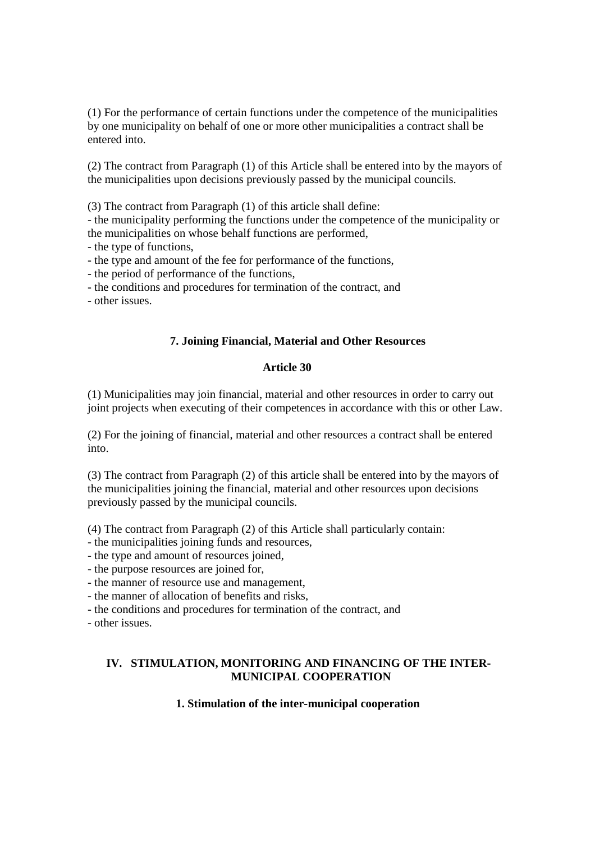(1) For the performance of certain functions under the competence of the municipalities by one municipality on behalf of one or more other municipalities a contract shall be entered into.

(2) The contract from Paragraph (1) of this Article shall be entered into by the mayors of the municipalities upon decisions previously passed by the municipal councils.

(3) The contract from Paragraph (1) of this article shall define:

- the municipality performing the functions under the competence of the municipality or the municipalities on whose behalf functions are performed,

- the type of functions,

- the type and amount of the fee for performance of the functions,

- the period of performance of the functions,

- the conditions and procedures for termination of the contract, and

- other issues.

# **7. Joining Financial, Material and Other Resources**

### **Article 30**

(1) Municipalities may join financial, material and other resources in order to carry out joint projects when executing of their competences in accordance with this or other Law.

(2) For the joining of financial, material and other resources a contract shall be entered into.

(3) The contract from Paragraph (2) of this article shall be entered into by the mayors of the municipalities joining the financial, material and other resources upon decisions previously passed by the municipal councils.

(4) The contract from Paragraph (2) of this Article shall particularly contain:

- the municipalities joining funds and resources,

- the type and amount of resources joined,

- the purpose resources are joined for,

- the manner of resource use and management,

- the manner of allocation of benefits and risks,

- the conditions and procedures for termination of the contract, and

- other issues.

# **IV. STIMULATION, MONITORING AND FINANCING OF THE INTER-MUNICIPAL COOPERATION**

# **1. Stimulation of the inter-municipal cooperation**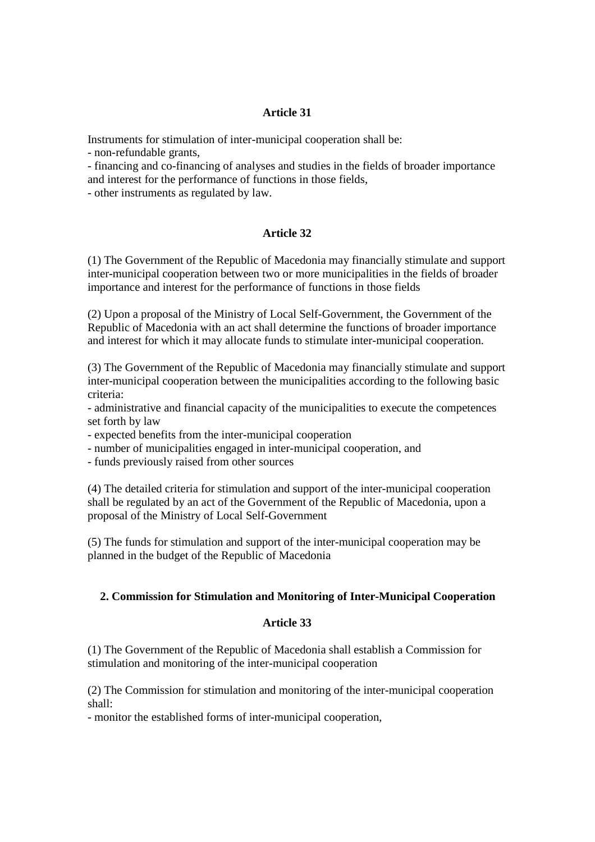Instruments for stimulation of inter-municipal cooperation shall be:

- non-refundable grants,

- financing and co-financing of analyses and studies in the fields of broader importance and interest for the performance of functions in those fields,

- other instruments as regulated by law.

# **Article 32**

(1) The Government of the Republic of Macedonia may financially stimulate and support inter-municipal cooperation between two or more municipalities in the fields of broader importance and interest for the performance of functions in those fields

(2) Upon a proposal of the Ministry of Local Self-Government, the Government of the Republic of Macedonia with an act shall determine the functions of broader importance and interest for which it may allocate funds to stimulate inter-municipal cooperation.

(3) The Government of the Republic of Macedonia may financially stimulate and support inter-municipal cooperation between the municipalities according to the following basic criteria:

- administrative and financial capacity of the municipalities to execute the competences set forth by law

- expected benefits from the inter-municipal cooperation

- number of municipalities engaged in inter-municipal cooperation, and

- funds previously raised from other sources

(4) The detailed criteria for stimulation and support of the inter-municipal cooperation shall be regulated by an act of the Government of the Republic of Macedonia, upon a proposal of the Ministry of Local Self-Government

(5) The funds for stimulation and support of the inter-municipal cooperation may be planned in the budget of the Republic of Macedonia

# **2. Commission for Stimulation and Monitoring of Inter-Municipal Cooperation**

# **Article 33**

(1) The Government of the Republic of Macedonia shall establish a Commission for stimulation and monitoring of the inter-municipal cooperation

(2) The Commission for stimulation and monitoring of the inter-municipal cooperation shall:

- monitor the established forms of inter-municipal cooperation,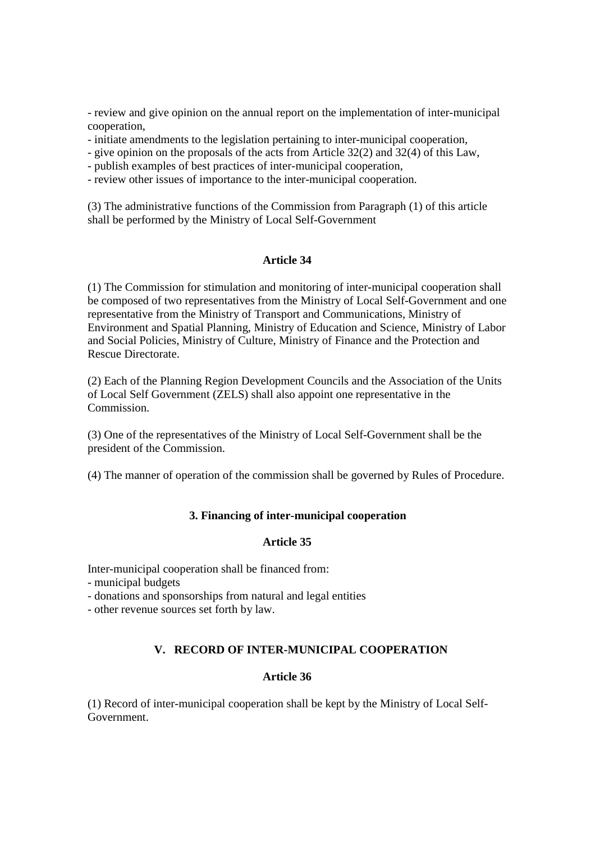- review and give opinion on the annual report on the implementation of inter-municipal cooperation,

- initiate amendments to the legislation pertaining to inter-municipal cooperation,
- give opinion on the proposals of the acts from Article 32(2) and 32(4) of this Law,
- publish examples of best practices of inter-municipal cooperation,
- review other issues of importance to the inter-municipal cooperation.

(3) The administrative functions of the Commission from Paragraph (1) of this article shall be performed by the Ministry of Local Self-Government

# **Article 34**

(1) The Commission for stimulation and monitoring of inter-municipal cooperation shall be composed of two representatives from the Ministry of Local Self-Government and one representative from the Ministry of Transport and Communications, Ministry of Environment and Spatial Planning, Ministry of Education and Science, Ministry of Labor and Social Policies, Ministry of Culture, Ministry of Finance and the Protection and Rescue Directorate.

(2) Each of the Planning Region Development Councils and the Association of the Units of Local Self Government (ZELS) shall also appoint one representative in the Commission.

(3) One of the representatives of the Ministry of Local Self-Government shall be the president of the Commission.

(4) The manner of operation of the commission shall be governed by Rules of Procedure.

# **3. Financing of inter-municipal cooperation**

# **Article 35**

Inter-municipal cooperation shall be financed from:

- municipal budgets
- donations and sponsorships from natural and legal entities
- other revenue sources set forth by law.

# **V. RECORD OF INTER-MUNICIPAL COOPERATION**

### **Article 36**

(1) Record of inter-municipal cooperation shall be kept by the Ministry of Local Self-Government.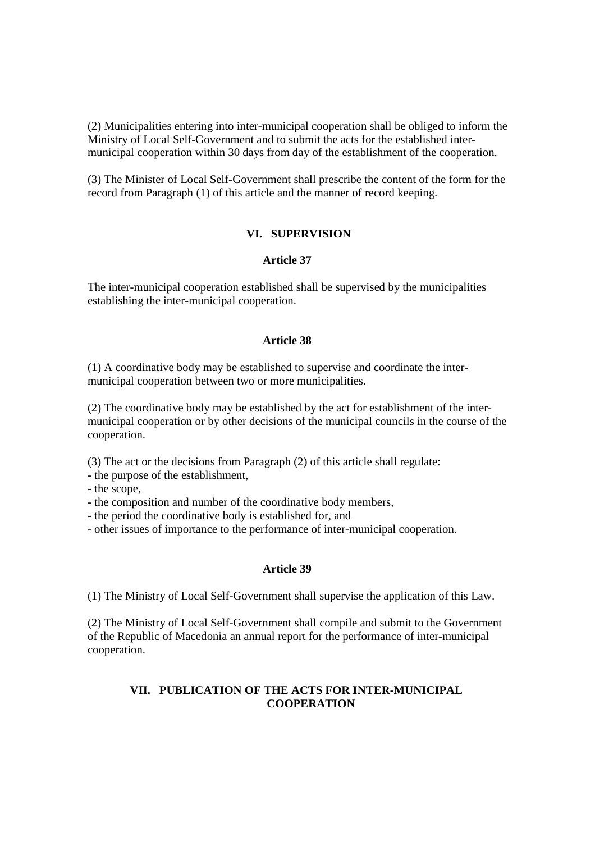(2) Municipalities entering into inter-municipal cooperation shall be obliged to inform the Ministry of Local Self-Government and to submit the acts for the established intermunicipal cooperation within 30 days from day of the establishment of the cooperation.

(3) The Minister of Local Self-Government shall prescribe the content of the form for the record from Paragraph (1) of this article and the manner of record keeping.

### **VI. SUPERVISION**

## **Article 37**

The inter-municipal cooperation established shall be supervised by the municipalities establishing the inter-municipal cooperation.

### **Article 38**

(1) A coordinative body may be established to supervise and coordinate the intermunicipal cooperation between two or more municipalities.

(2) The coordinative body may be established by the act for establishment of the intermunicipal cooperation or by other decisions of the municipal councils in the course of the cooperation.

(3) The act or the decisions from Paragraph (2) of this article shall regulate:

- the purpose of the establishment,

- the scope,

- the composition and number of the coordinative body members,

- the period the coordinative body is established for, and

- other issues of importance to the performance of inter-municipal cooperation.

### **Article 39**

(1) The Ministry of Local Self-Government shall supervise the application of this Law.

(2) The Ministry of Local Self-Government shall compile and submit to the Government of the Republic of Macedonia an annual report for the performance of inter-municipal cooperation.

# **VII. PUBLICATION OF THE ACTS FOR INTER-MUNICIPAL COOPERATION**